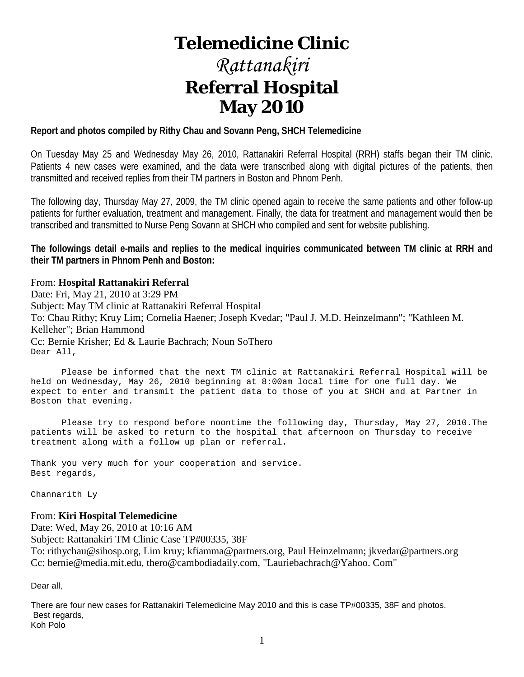# **Telemedicine Clinic**

# *Rattanakiri* **Referral Hospital May 2010**

#### **Report and photos compiled by Rithy Chau and Sovann Peng, SHCH Telemedicine**

On Tuesday May 25 and Wednesday May 26, 2010, Rattanakiri Referral Hospital (RRH) staffs began their TM clinic. Patients 4 new cases were examined, and the data were transcribed along with digital pictures of the patients, then transmitted and received replies from their TM partners in Boston and Phnom Penh.

The following day, Thursday May 27, 2009, the TM clinic opened again to receive the same patients and other follow-up patients for further evaluation, treatment and management. Finally, the data for treatment and management would then be transcribed and transmitted to Nurse Peng Sovann at SHCH who compiled and sent for website publishing.

**The followings detail e-mails and replies to the medical inquiries communicated between TM clinic at RRH and their TM partners in Phnom Penh and Boston:**

#### From: **Hospital Rattanakiri Referral**

Date: Fri, May 21, 2010 at 3:29 PM Subject: May TM clinic at Rattanakiri Referral Hospital To: Chau Rithy; Kruy Lim; Cornelia Haener; Joseph Kvedar; "Paul J. M.D. Heinzelmann"; "Kathleen M. Kelleher"; Brian Hammond Cc: Bernie Krisher; Ed & Laurie Bachrach; Noun SoThero Dear All,

 Please be informed that the next TM clinic at Rattanakiri Referral Hospital will be held on Wednesday, May 26, 2010 beginning at 8:00am local time for one full day. We expect to enter and transmit the patient data to those of you at SHCH and at Partner in Boston that evening.

 Please try to respond before noontime the following day, Thursday, May 27, 2010.The patients will be asked to return to the hospital that afternoon on Thursday to receive treatment along with a follow up plan or referral.

Thank you very much for your cooperation and service. Best regards,

Channarith Ly

#### From: **Kiri Hospital Telemedicine**

Date: Wed, May 26, 2010 at 10:16 AM

Subject: Rattanakiri TM Clinic Case TP#00335, 38F

To: rithychau@sihosp.org, Lim kruy; kfiamma@partners.org, Paul Heinzelmann; jkvedar@partners.org Cc: bernie@media.mit.edu, thero@cambodiadaily.com, "Lauriebachrach@Yahoo. Com"

Dear all,

There are four new cases for Rattanakiri Telemedicine May 2010 and this is case TP#00335, 38F and photos. Best regards, Koh Polo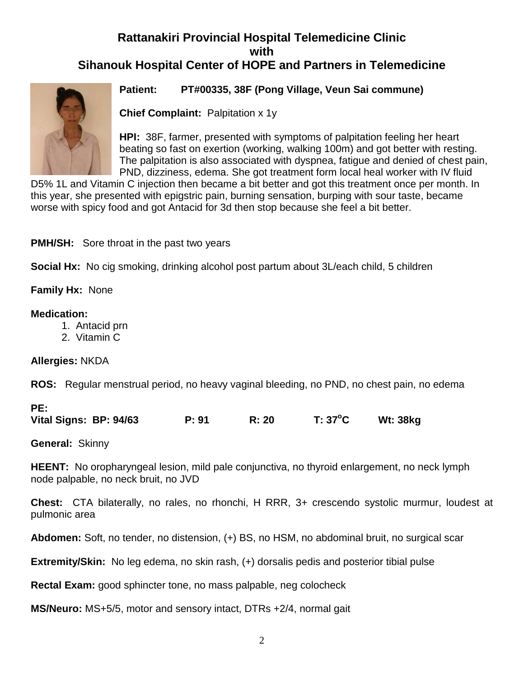## **Rattanakiri Provincial Hospital Telemedicine Clinic with Sihanouk Hospital Center of HOPE and Partners in Telemedicine**



**Patient: PT#00335, 38F (Pong Village, Veun Sai commune)**

**Chief Complaint:** Palpitation x 1y

**HPI:** 38F, farmer, presented with symptoms of palpitation feeling her heart beating so fast on exertion (working, walking 100m) and got better with resting. The palpitation is also associated with dyspnea, fatigue and denied of chest pain, PND, dizziness, edema. She got treatment form local heal worker with IV fluid

D5% 1L and Vitamin C injection then became a bit better and got this treatment once per month. In this year, she presented with epigstric pain, burning sensation, burping with sour taste, became worse with spicy food and got Antacid for 3d then stop because she feel a bit better.

**PMH/SH:** Sore throat in the past two years

**Social Hx:** No cig smoking, drinking alcohol post partum about 3L/each child, 5 children

**Family Hx:** None

#### **Medication:**

- 1. Antacid prn
- 2. Vitamin C

#### **Allergies:** NKDA

**ROS:** Regular menstrual period, no heavy vaginal bleeding, no PND, no chest pain, no edema

**Vital Signs: BP: 94/63 P: 91 R: 20 T: 37<sup>o</sup> C Wt: 38kg**

**General:** Skinny

**HEENT:** No oropharyngeal lesion, mild pale conjunctiva, no thyroid enlargement, no neck lymph node palpable, no neck bruit, no JVD

**Chest:** CTA bilaterally, no rales, no rhonchi, H RRR, 3+ crescendo systolic murmur, loudest at pulmonic area

**Abdomen:** Soft, no tender, no distension, (+) BS, no HSM, no abdominal bruit, no surgical scar

**Extremity/Skin:** No leg edema, no skin rash, (+) dorsalis pedis and posterior tibial pulse

**Rectal Exam:** good sphincter tone, no mass palpable, neg colocheck

**MS/Neuro:** MS+5/5, motor and sensory intact, DTRs +2/4, normal gait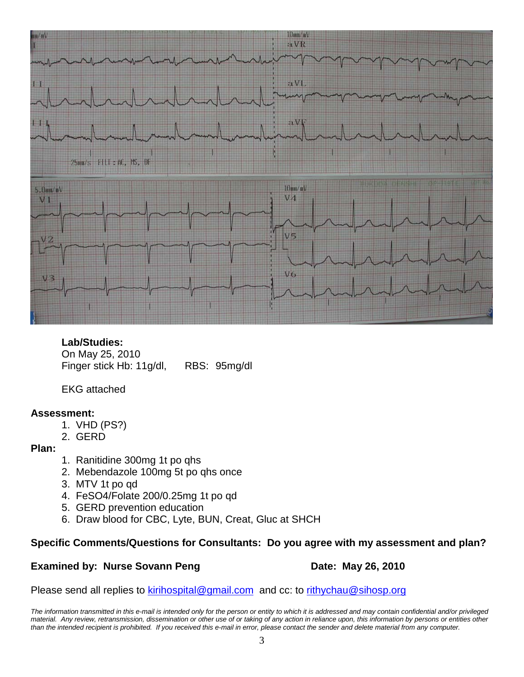

**Lab/Studies:** 

On May 25, 2010 Finger stick Hb: 11g/dl, RBS: 95mg/dl

EKG attached

#### **Assessment:**

- 1. VHD (PS?)
- 2. GERD

**Plan:** 

- 1. Ranitidine 300mg 1t po qhs
- 2. Mebendazole 100mg 5t po qhs once
- 3. MTV 1t po qd
- 4. FeSO4/Folate 200/0.25mg 1t po qd
- 5. GERD prevention education
- 6. Draw blood for CBC, Lyte, BUN, Creat, Gluc at SHCH

#### **Specific Comments/Questions for Consultants: Do you agree with my assessment and plan?**

#### **Examined by: Nurse Sovann Peng Date: May 26, 2010**

Please send all replies to [kirihospital@gmail.com](mailto:kirihospital@gmail.com) and cc: to [rithychau@sihosp.org](mailto:rithychau@sihosp.org)

*The information transmitted in this e-mail is intended only for the person or entity to which it is addressed and may contain confidential and/or privileged material. Any review, retransmission, dissemination or other use of or taking of any action in reliance upon, this information by persons or entities other*  than the intended recipient is prohibited. If you received this e-mail in error, please contact the sender and delete material from any computer.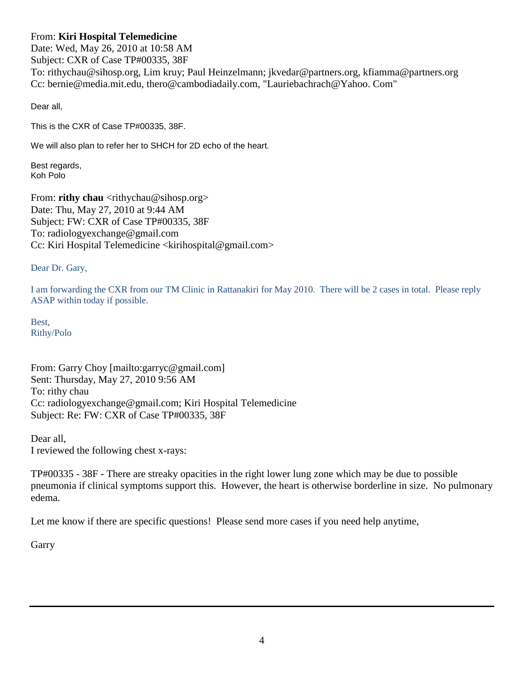#### From: **Kiri Hospital Telemedicine**

Date: Wed, May 26, 2010 at 10:58 AM Subject: CXR of Case TP#00335, 38F To: rithychau@sihosp.org, Lim kruy; Paul Heinzelmann; jkvedar@partners.org, kfiamma@partners.org Cc: bernie@media.mit.edu, thero@cambodiadaily.com, "Lauriebachrach@Yahoo. Com"

Dear all,

This is the CXR of Case TP#00335, 38F.

We will also plan to refer her to SHCH for 2D echo of the heart.

Best regards, Koh Polo

From: **rithy chau** <rithychau@sihosp.org> Date: Thu, May 27, 2010 at 9:44 AM Subject: FW: CXR of Case TP#00335, 38F To: radiologyexchange@gmail.com Cc: Kiri Hospital Telemedicine <kirihospital@gmail.com>

Dear Dr. Gary,

I am forwarding the CXR from our TM Clinic in Rattanakiri for May 2010. There will be 2 cases in total. Please reply ASAP within today if possible.

Best, Rithy/Polo

From: Garry Choy [mailto:garryc@gmail.com] Sent: Thursday, May 27, 2010 9:56 AM To: rithy chau Cc: radiologyexchange@gmail.com; Kiri Hospital Telemedicine Subject: Re: FW: CXR of Case TP#00335, 38F

Dear all, I reviewed the following chest x-rays:

TP#00335 - 38F - There are streaky opacities in the right lower lung zone which may be due to possible pneumonia if clinical symptoms support this. However, the heart is otherwise borderline in size. No pulmonary edema.

Let me know if there are specific questions! Please send more cases if you need help anytime,

**Garry**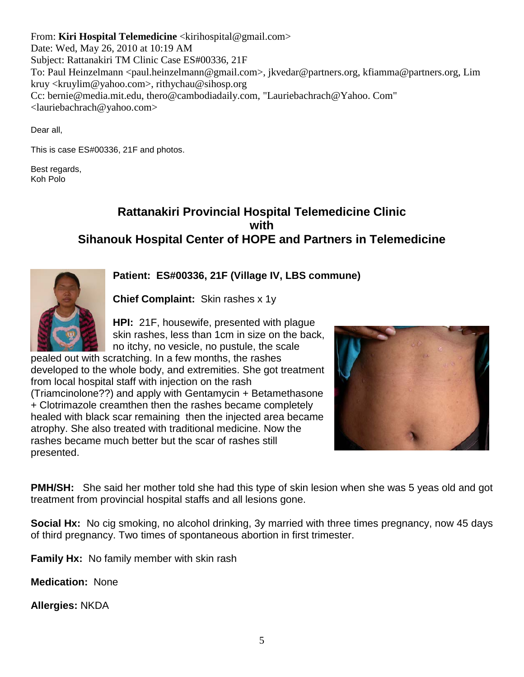From: **Kiri Hospital Telemedicine** <kirihospital@gmail.com> Date: Wed, May 26, 2010 at 10:19 AM Subject: Rattanakiri TM Clinic Case ES#00336, 21F To: Paul Heinzelmann <paul.heinzelmann@gmail.com>, jkvedar@partners.org, kfiamma@partners.org, Lim kruy <kruylim@yahoo.com>, rithychau@sihosp.org Cc: bernie@media.mit.edu, thero@cambodiadaily.com, "Lauriebachrach@Yahoo. Com" <lauriebachrach@yahoo.com>

Dear all,

This is case ES#00336, 21F and photos.

Best regards, Koh Polo

#### **Rattanakiri Provincial Hospital Telemedicine Clinic with Sihanouk Hospital Center of HOPE and Partners in Telemedicine**

**Patient: ES#00336, 21F (Village IV, LBS commune)**

**Chief Complaint:** Skin rashes x 1y

**HPI:** 21F, housewife, presented with plague skin rashes, less than 1cm in size on the back, no itchy, no vesicle, no pustule, the scale

pealed out with scratching. In a few months, the rashes developed to the whole body, and extremities. She got treatment from local hospital staff with injection on the rash (Triamcinolone??) and apply with Gentamycin + Betamethasone + Clotrimazole creamthen then the rashes became completely healed with black scar remaining then the injected area became atrophy. She also treated with traditional medicine. Now the rashes became much better but the scar of rashes still presented.



**PMH/SH:** She said her mother told she had this type of skin lesion when she was 5 yeas old and got treatment from provincial hospital staffs and all lesions gone.

**Social Hx:** No cig smoking, no alcohol drinking, 3y married with three times pregnancy, now 45 days of third pregnancy. Two times of spontaneous abortion in first trimester.

**Family Hx:** No family member with skin rash

**Medication:** None

**Allergies:** NKDA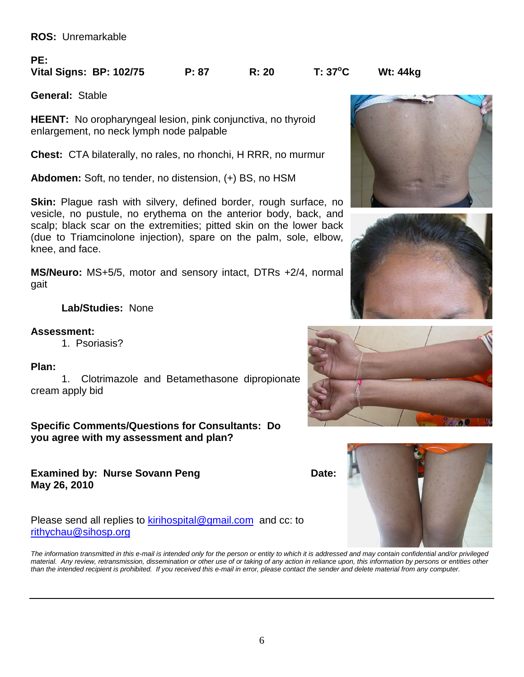**ROS:** Unremarkable

#### **PE:**

#### **Vital Signs: BP: 102/75 P: 87 R: 20 T: 37<sup>o</sup>**

**General:** Stable

**HEENT:** No oropharyngeal lesion, pink conjunctiva, no thyroid enlargement, no neck lymph node palpable

**Chest:** CTA bilaterally, no rales, no rhonchi, H RRR, no murmur

**Abdomen:** Soft, no tender, no distension, (+) BS, no HSM

**Skin:** Plague rash with silvery, defined border, rough surface, no vesicle, no pustule, no erythema on the anterior body, back, and scalp; black scar on the extremities; pitted skin on the lower back (due to Triamcinolone injection), spare on the palm, sole, elbow, knee, and face.

**MS/Neuro:** MS+5/5, motor and sensory intact, DTRs +2/4, normal gait

**Lab/Studies:** None

#### **Assessment:**

1. Psoriasis?

#### **Plan:**

1. Clotrimazole and Betamethasone dipropionate cream apply bid

**Specific Comments/Questions for Consultants: Do you agree with my assessment and plan?**

**Examined by: Nurse Sovann Peng <b>Date:** Date: **May 26, 2010**

Please send all replies to [kirihospital@gmail.com](mailto:kirihospital@gmail.com) and cc: to [rithychau@sihosp.org](mailto:rithychau@sihosp.org)

*The information transmitted in this e-mail is intended only for the person or entity to which it is addressed and may contain confidential and/or privileged material. Any review, retransmission, dissemination or other use of or taking of any action in reliance upon, this information by persons or entities other than the intended recipient is prohibited. If you received this e-mail in error, please contact the sender and delete material from any computer.*











**C Wt: 44kg**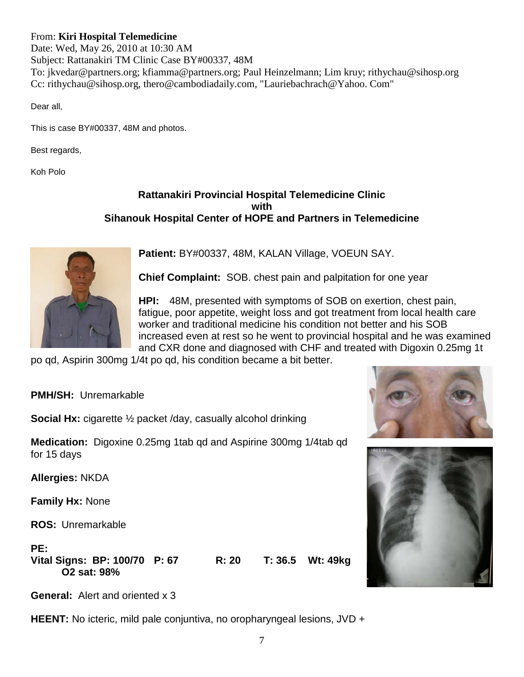#### From: **Kiri Hospital Telemedicine**

Date: Wed, May 26, 2010 at 10:30 AM Subject: Rattanakiri TM Clinic Case BY#00337, 48M To: jkvedar@partners.org; kfiamma@partners.org; Paul Heinzelmann; Lim kruy; rithychau@sihosp.org Cc: rithychau@sihosp.org, thero@cambodiadaily.com, "Lauriebachrach@Yahoo. Com"

Dear all,

This is case BY#00337, 48M and photos.

Best regards,

Koh Polo

#### **Rattanakiri Provincial Hospital Telemedicine Clinic with Sihanouk Hospital Center of HOPE and Partners in Telemedicine**



**Patient:** BY#00337, 48M, KALAN Village, VOEUN SAY.

**Chief Complaint:** SOB. chest pain and palpitation for one year

**HPI:** 48M, presented with symptoms of SOB on exertion, chest pain, fatigue, poor appetite, weight loss and got treatment from local health care worker and traditional medicine his condition not better and his SOB increased even at rest so he went to provincial hospital and he was examined and CXR done and diagnosed with CHF and treated with Digoxin 0.25mg 1t

po qd, Aspirin 300mg 1/4t po qd, his condition became a bit better.

**PMH/SH:** Unremarkable

**Social Hx:** cigarette ½ packet /day, casually alcohol drinking

**Medication:** Digoxine 0.25mg 1tab qd and Aspirine 300mg 1/4tab qd for 15 days

**Allergies:** NKDA

**Family Hx:** None

**ROS:** Unremarkable

**PE: Vital Signs: BP: 100/70 P: 67 R: 20 T: 36.5 Wt: 49kg O2 sat: 98%**



**General:** Alert and oriented x 3

**HEENT:** No icteric, mild pale conjuntiva, no oropharyngeal lesions, JVD +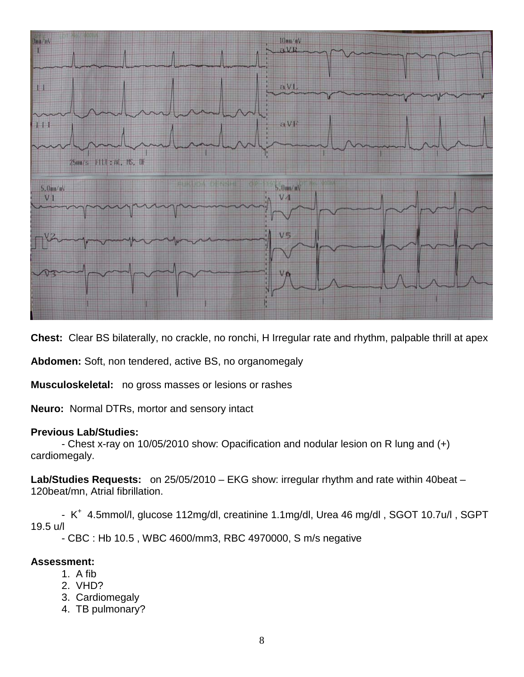

**Chest:** Clear BS bilaterally, no crackle, no ronchi, H Irregular rate and rhythm, palpable thrill at apex

**Abdomen:** Soft, non tendered, active BS, no organomegaly

**Musculoskeletal:** no gross masses or lesions or rashes

**Neuro:** Normal DTRs, mortor and sensory intact

#### **Previous Lab/Studies:**

- Chest x-ray on 10/05/2010 show: Opacification and nodular lesion on R lung and (+) cardiomegaly.

**Lab/Studies Requests:** on 25/05/2010 – EKG show: irregular rhythm and rate within 40beat – 120beat/mn, Atrial fibrillation.

- K<sup>+</sup> 4.5mmol/l, glucose 112mg/dl, creatinine 1.1mg/dl, Urea 46 mg/dl, SGOT 10.7u/l, SGPT 19.5 u/l

- CBC : Hb 10.5 , WBC 4600/mm3, RBC 4970000, S m/s negative

#### **Assessment:**

- 1. A fib
- 2. VHD?
- 3. Cardiomegaly
- 4. TB pulmonary?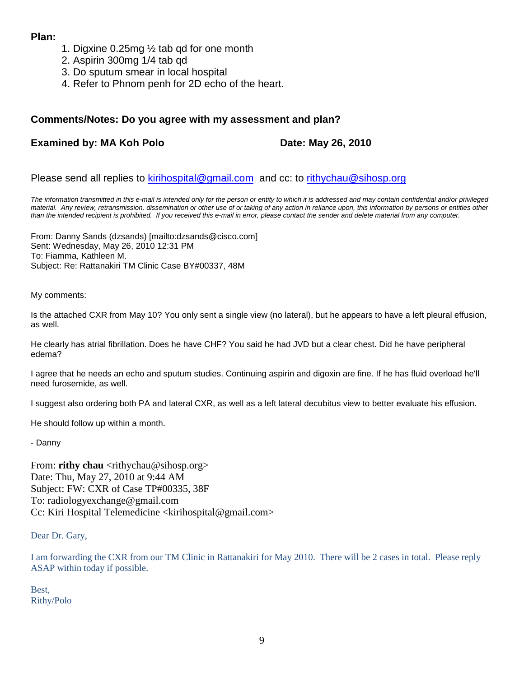#### **Plan:**

- 1. Digxine 0.25mg ½ tab qd for one month
- 2. Aspirin 300mg 1/4 tab qd
- 3. Do sputum smear in local hospital
- 4. Refer to Phnom penh for 2D echo of the heart.

#### **Comments/Notes: Do you agree with my assessment and plan?**

#### **Examined by: MA Koh Polo Date: May 26, 2010**

#### Please send all replies to [kirihospital@gmail.com](mailto:kirihospital@gmail.com) and cc: to [rithychau@sihosp.org](mailto:rithychau@sihosp.org)

*The information transmitted in this e-mail is intended only for the person or entity to which it is addressed and may contain confidential and/or privileged material. Any review, retransmission, dissemination or other use of or taking of any action in reliance upon, this information by persons or entities other than the intended recipient is prohibited. If you received this e-mail in error, please contact the sender and delete material from any computer.*

From: Danny Sands (dzsands) [mailto:dzsands@cisco.com] Sent: Wednesday, May 26, 2010 12:31 PM To: Fiamma, Kathleen M. Subject: Re: Rattanakiri TM Clinic Case BY#00337, 48M

My comments:

Is the attached CXR from May 10? You only sent a single view (no lateral), but he appears to have a left pleural effusion, as well.

He clearly has atrial fibrillation. Does he have CHF? You said he had JVD but a clear chest. Did he have peripheral edema?

I agree that he needs an echo and sputum studies. Continuing aspirin and digoxin are fine. If he has fluid overload he'll need furosemide, as well.

I suggest also ordering both PA and lateral CXR, as well as a left lateral decubitus view to better evaluate his effusion.

He should follow up within a month.

- Danny

From: **rithy chau** <rithychau@sihosp.org> Date: Thu, May 27, 2010 at 9:44 AM Subject: FW: CXR of Case TP#00335, 38F To: radiologyexchange@gmail.com Cc: Kiri Hospital Telemedicine <kirihospital@gmail.com>

Dear Dr. Gary,

I am forwarding the CXR from our TM Clinic in Rattanakiri for May 2010. There will be 2 cases in total. Please reply ASAP within today if possible.

Best, Rithy/Polo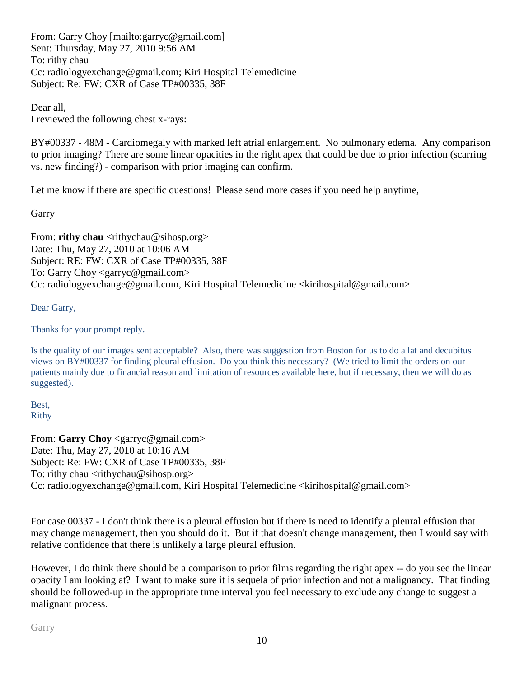From: Garry Choy [mailto:garryc@gmail.com] Sent: Thursday, May 27, 2010 9:56 AM To: rithy chau Cc: radiologyexchange@gmail.com; Kiri Hospital Telemedicine Subject: Re: FW: CXR of Case TP#00335, 38F

Dear all, I reviewed the following chest x-rays:

BY#00337 - 48M - Cardiomegaly with marked left atrial enlargement. No pulmonary edema. Any comparison to prior imaging? There are some linear opacities in the right apex that could be due to prior infection (scarring vs. new finding?) - comparison with prior imaging can confirm.

Let me know if there are specific questions! Please send more cases if you need help anytime,

**Garry** 

From: **rithy chau** <rithychau@sihosp.org> Date: Thu, May 27, 2010 at 10:06 AM Subject: RE: FW: CXR of Case TP#00335, 38F To: Garry Choy <garryc@gmail.com> Cc: radiologyexchange@gmail.com, Kiri Hospital Telemedicine <kirihospital@gmail.com>

Dear Garry,

Thanks for your prompt reply.

Is the quality of our images sent acceptable? Also, there was suggestion from Boston for us to do a lat and decubitus views on BY#00337 for finding pleural effusion. Do you think this necessary? (We tried to limit the orders on our patients mainly due to financial reason and limitation of resources available here, but if necessary, then we will do as suggested).

Best, Rithy

From: **Garry Choy** <garryc@gmail.com> Date: Thu, May 27, 2010 at 10:16 AM Subject: Re: FW: CXR of Case TP#00335, 38F To: rithy chau  $\langle$ rithychau@sihosp.org $\rangle$ Cc: radiologyexchange@gmail.com, Kiri Hospital Telemedicine <kirihospital@gmail.com>

For case 00337 - I don't think there is a pleural effusion but if there is need to identify a pleural effusion that may change management, then you should do it. But if that doesn't change management, then I would say with relative confidence that there is unlikely a large pleural effusion.

However, I do think there should be a comparison to prior films regarding the right apex -- do you see the linear opacity I am looking at? I want to make sure it is sequela of prior infection and not a malignancy. That finding should be followed-up in the appropriate time interval you feel necessary to exclude any change to suggest a malignant process.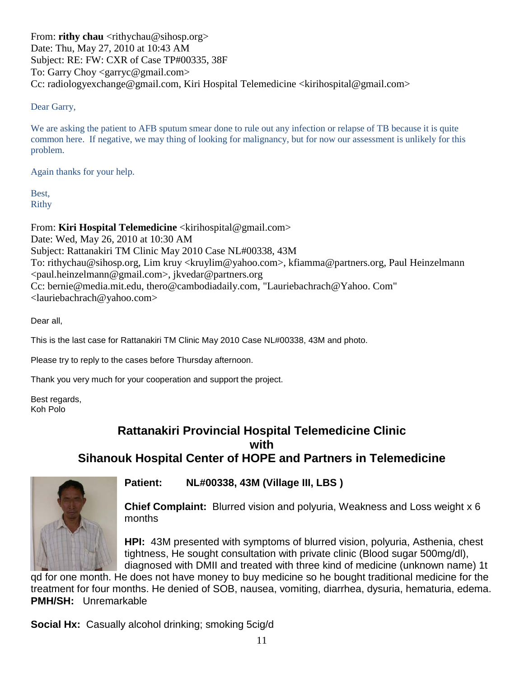From: **rithy chau** <rithychau@sihosp.org> Date: Thu, May 27, 2010 at 10:43 AM Subject: RE: FW: CXR of Case TP#00335, 38F To: Garry Choy <garryc@gmail.com> Cc: radiologyexchange@gmail.com, Kiri Hospital Telemedicine <kirihospital@gmail.com>

#### Dear Garry,

We are asking the patient to AFB sputum smear done to rule out any infection or relapse of TB because it is quite common here. If negative, we may thing of looking for malignancy, but for now our assessment is unlikely for this problem.

Again thanks for your help.

Best, Rithy

From: **Kiri Hospital Telemedicine** <kirihospital@gmail.com>

Date: Wed, May 26, 2010 at 10:30 AM Subject: Rattanakiri TM Clinic May 2010 Case NL#00338, 43M To: rithychau@sihosp.org, Lim kruy <kruylim@yahoo.com>, kfiamma@partners.org, Paul Heinzelmann <paul.heinzelmann@gmail.com>, jkvedar@partners.org Cc: bernie@media.mit.edu, thero@cambodiadaily.com, "Lauriebachrach@Yahoo. Com" <lauriebachrach@yahoo.com>

Dear all,

This is the last case for Rattanakiri TM Clinic May 2010 Case NL#00338, 43M and photo.

Please try to reply to the cases before Thursday afternoon.

Thank you very much for your cooperation and support the project.

Best regards, Koh Polo

#### **Rattanakiri Provincial Hospital Telemedicine Clinic with Sihanouk Hospital Center of HOPE and Partners in Telemedicine**



**Patient: NL#00338, 43M (Village III, LBS )**

**Chief Complaint:** Blurred vision and polyuria, Weakness and Loss weight x 6 months

**HPI:** 43M presented with symptoms of blurred vision, polyuria, Asthenia, chest tightness, He sought consultation with private clinic (Blood sugar 500mg/dl), diagnosed with DMII and treated with three kind of medicine (unknown name) 1t

qd for one month. He does not have money to buy medicine so he bought traditional medicine for the treatment for four months. He denied of SOB, nausea, vomiting, diarrhea, dysuria, hematuria, edema. **PMH/SH:** Unremarkable

**Social Hx:** Casually alcohol drinking; smoking 5cig/d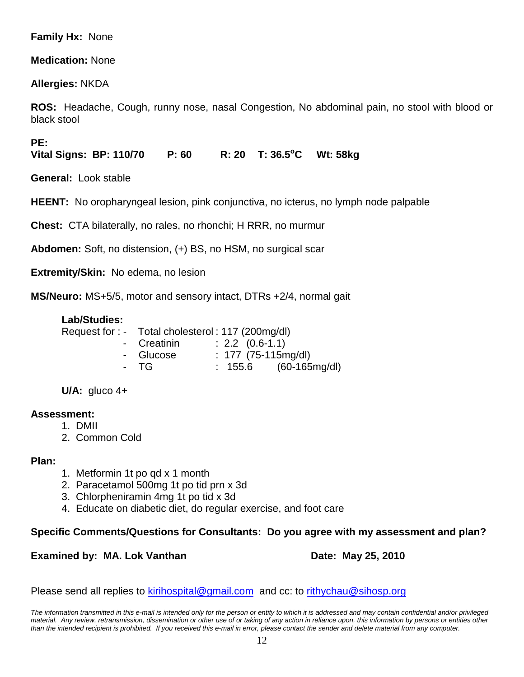#### **Family Hx:** None

#### **Medication:** None

#### **Allergies:** NKDA

**ROS:** Headache, Cough, runny nose, nasal Congestion, No abdominal pain, no stool with blood or black stool

**PE:**

**Vital Signs: BP: 110/70 P: 60** R: 20 T: 36.5°C Wt: 58kg

**General:** Look stable

**HEENT:** No oropharyngeal lesion, pink conjunctiva, no icterus, no lymph node palpable

**Chest:** CTA bilaterally, no rales, no rhonchi; H RRR, no murmur

**Abdomen:** Soft, no distension, (+) BS, no HSM, no surgical scar

**Extremity/Skin:** No edema, no lesion

**MS/Neuro:** MS+5/5, motor and sensory intact, DTRs +2/4, normal gait

#### **Lab/Studies:**

|      | Request for : - Total cholesterol : 117 (200mg/dl) |                         |                         |
|------|----------------------------------------------------|-------------------------|-------------------------|
|      | - Creatinin                                        | $: 2.2 \quad (0.6-1.1)$ |                         |
|      | - Glucose                                          | : $177$ (75-115mg/dl)   |                         |
| - TG |                                                    |                         | $: 155.6$ (60-165mg/dl) |
|      |                                                    |                         |                         |

**U/A:** gluco 4+

#### **Assessment:**

- 1. DMII
- 2. Common Cold

#### **Plan:**

- 1. Metformin 1t po qd x 1 month
- 2. Paracetamol 500mg 1t po tid prn x 3d
- 3. Chlorpheniramin 4mg 1t po tid x 3d
- 4. Educate on diabetic diet, do regular exercise, and foot care

#### **Specific Comments/Questions for Consultants: Do you agree with my assessment and plan?**

#### **Examined by: MA. Lok Vanthan Date: May 25, 2010**

Please send all replies to [kirihospital@gmail.com](mailto:kirihospital@gmail.com) and cc: to [rithychau@sihosp.org](mailto:rithychau@sihosp.org)

*The information transmitted in this e-mail is intended only for the person or entity to which it is addressed and may contain confidential and/or privileged material. Any review, retransmission, dissemination or other use of or taking of any action in reliance upon, this information by persons or entities other than the intended recipient is prohibited. If you received this e-mail in error, please contact the sender and delete material from any computer.*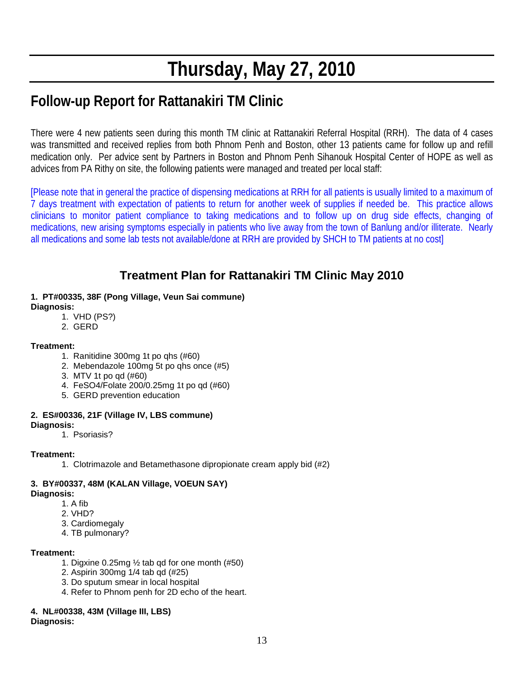# **Thursday, May 27, 2010**

# **Follow-up Report for Rattanakiri TM Clinic**

There were 4 new patients seen during this month TM clinic at Rattanakiri Referral Hospital (RRH). The data of 4 cases was transmitted and received replies from both Phnom Penh and Boston, other 13 patients came for follow up and refill medication only. Per advice sent by Partners in Boston and Phnom Penh Sihanouk Hospital Center of HOPE as well as advices from PA Rithy on site, the following patients were managed and treated per local staff:

[Please note that in general the practice of dispensing medications at RRH for all patients is usually limited to a maximum of 7 days treatment with expectation of patients to return for another week of supplies if needed be. This practice allows clinicians to monitor patient compliance to taking medications and to follow up on drug side effects, changing of medications, new arising symptoms especially in patients who live away from the town of Banlung and/or illiterate. Nearly all medications and some lab tests not available/done at RRH are provided by SHCH to TM patients at no cost]

### **Treatment Plan for Rattanakiri TM Clinic May 2010**

#### **1. PT#00335, 38F (Pong Village, Veun Sai commune)**

**Diagnosis:** 

- 1. VHD (PS?)
- 2. GERD

#### **Treatment:**

- 1. Ranitidine 300mg 1t po qhs (#60)
- 2. Mebendazole 100mg 5t po qhs once (#5)
- 3. MTV 1t po qd (#60)
- 4. FeSO4/Folate 200/0.25mg 1t po qd (#60)
- 5. GERD prevention education

#### **2. ES#00336, 21F (Village IV, LBS commune)**

#### **Diagnosis:**

1. Psoriasis?

#### **Treatment:**

1. Clotrimazole and Betamethasone dipropionate cream apply bid (#2)

#### **3. BY#00337, 48M (KALAN Village, VOEUN SAY)**

**Diagnosis:**

- 1. A fib
- 2. VHD?
- 3. Cardiomegaly
- 4. TB pulmonary?

#### **Treatment:**

- 1. Digxine 0.25mg ½ tab qd for one month (#50)
- 2. Aspirin 300mg 1/4 tab qd (#25)
- 3. Do sputum smear in local hospital
- 4. Refer to Phnom penh for 2D echo of the heart.

#### **4. NL#00338, 43M (Village III, LBS)**

**Diagnosis:**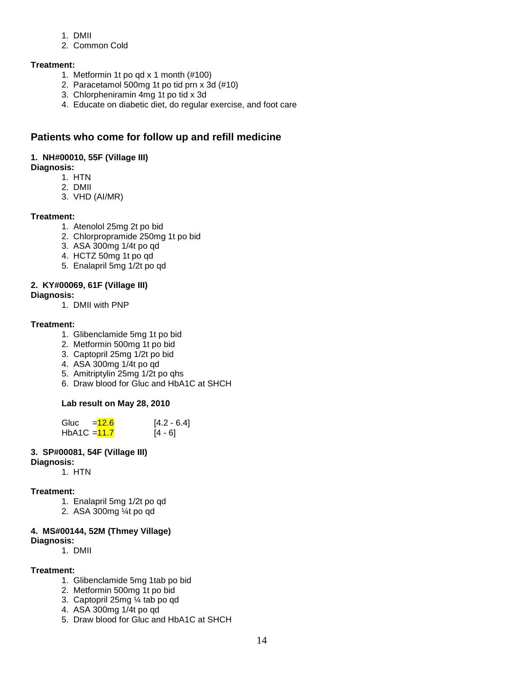- 1. DMII
- 2. Common Cold

#### **Treatment:**

- 1. Metformin 1t po qd x 1 month (#100)
- 2. Paracetamol 500mg 1t po tid prn x 3d (#10)
- 3. Chlorpheniramin 4mg 1t po tid x 3d
- 4. Educate on diabetic diet, do regular exercise, and foot care

#### **Patients who come for follow up and refill medicine**

#### **1. NH#00010, 55F (Village III)**

- **Diagnosis:**
	- 1. HTN
	- 2. DMII
	- 3. VHD (AI/MR)

#### **Treatment:**

- 1. Atenolol 25mg 2t po bid
- 2. Chlorpropramide 250mg 1t po bid
- 3. ASA 300mg 1/4t po qd
- 4. HCTZ 50mg 1t po qd
- 5. Enalapril 5mg 1/2t po qd

#### **2. KY#00069, 61F (Village III)**

- **Diagnosis:**
	- 1. DMII with PNP

#### **Treatment:**

- 1. Glibenclamide 5mg 1t po bid
- 2. Metformin 500mg 1t po bid
- 3. Captopril 25mg 1/2t po bid
- 4. ASA 300mg 1/4t po qd
- 5. Amitriptylin 25mg 1/2t po qhs
- 6. Draw blood for Gluc and HbA1C at SHCH

#### **Lab result on May 28, 2010**

Gluc  $=$   $\frac{12.6}{12.6}$  [4.2 - 6.4] HbA1C =  $11.7$  [4 - 6]

#### **3. SP#00081, 54F (Village III)**

- **Diagnosis:**
	- 1. HTN

#### **Treatment:**

- 1. Enalapril 5mg 1/2t po qd
- 2. ASA 300mg ¼t po qd

#### **4. MS#00144, 52M (Thmey Village) Diagnosis:**

1. DMII

#### **Treatment:**

- 1. Glibenclamide 5mg 1tab po bid
- 2. Metformin 500mg 1t po bid
- 3. Captopril 25mg ¼ tab po qd
- 4. ASA 300mg 1/4t po qd
- 5. Draw blood for Gluc and HbA1C at SHCH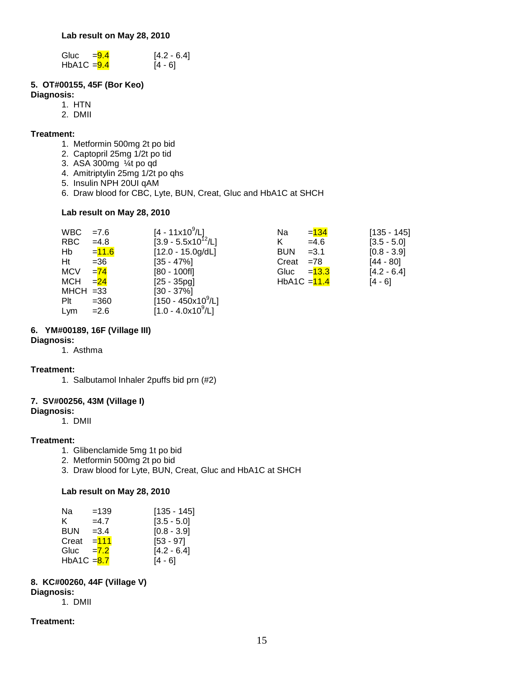| Gluc          | $= 9.4$ | $[4.2 - 6.4]$ |
|---------------|---------|---------------|
| HbA1C $=$ 9.4 |         | [4 - 6]       |

#### **5. OT#00155, 45F (Bor Keo)**

#### **Diagnosis:**

- 1. HTN
- 2. DMII

#### **Treatment:**

- 1. Metformin 500mg 2t po bid
- 2. Captopril 25mg 1/2t po tid
- 3. ASA 300mg ¼t po qd
- 4. Amitriptylin 25mg 1/2t po qhs
- 5. Insulin NPH 20UI qAM
- 6. Draw blood for CBC, Lyte, BUN, Creat, Gluc and HbA1C at SHCH

#### **Lab result on May 28, 2010**

| WBC         | $=7.6$   | [4 - 11x10 <sup>9</sup> /L]     | Na             | $= 134$  | $[135 - 145]$ |
|-------------|----------|---------------------------------|----------------|----------|---------------|
| <b>RBC</b>  | $=4.8$   | [3.9 - 5.5x10 <sup>12</sup> /L] | K              | $=4.6$   | $[3.5 - 5.0]$ |
| Hb          | $= 11.6$ | $[12.0 - 15.0g/dL]$             | <b>BUN</b>     | $=3.1$   | $[0.8 - 3.9]$ |
| Ht          | $= 36$   | $[35 - 47\%]$                   | $Create = 78$  |          | $[44 - 80]$   |
| <b>MCV</b>  | $=74$    | $[80 - 100$ fl]                 | Gluc           | $= 13.3$ | $[4.2 - 6.4]$ |
| <b>MCH</b>  | $= 24$   | $[25 - 35pq]$                   | $HbA1C = 11.4$ |          | $[4 - 6]$     |
| $MHCH = 33$ |          | $[30 - 37\%]$                   |                |          |               |
| Plt         | $= 360$  | $[150 - 450x10^9/L]$            |                |          |               |
| Lym         | $= 2.6$  | $[1.0 - 4.0x10^9/L]$            |                |          |               |

#### **6. YM#00189, 16F (Village III)**

#### **Diagnosis:**

1. Asthma

#### **Treatment:**

1. Salbutamol Inhaler 2puffs bid prn (#2)

#### **7. SV#00256, 43M (Village I)**

#### **Diagnosis:**

1. DMII

#### **Treatment:**

- 1. Glibenclamide 5mg 1t po bid
- 2. Metformin 500mg 2t po bid
- 3. Draw blood for Lyte, BUN, Creat, Gluc and HbA1C at SHCH

#### **Lab result on May 28, 2010**

| Na            | $=139$ | [135 - 145]   |
|---------------|--------|---------------|
| K.            | $=4.7$ | $[3.5 - 5.0]$ |
| <b>BUN</b>    | $=3.4$ | $[0.8 - 3.9]$ |
| Creat         | $=111$ | $[53 - 97]$   |
| Gluc          | $=7.2$ | $[4.2 - 6.4]$ |
| HbA1C $= 8.7$ |        | [4 - 6]       |

#### **8. KC#00260, 44F (Village V)**

**Diagnosis:**

1. DMII

#### **Treatment:**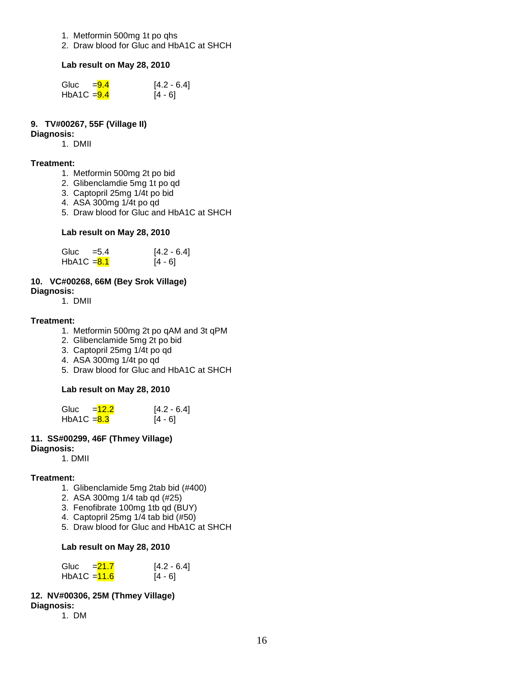- 1. Metformin 500mg 1t po qhs
- 2. Draw blood for Gluc and HbA1C at SHCH

#### **Lab result on May 28, 2010**

| Gluc          | $= 9.4$ | $[4.2 - 6.4]$ |
|---------------|---------|---------------|
| HbA1C $=$ 9.4 |         | [4 - 6]       |

#### **9. TV#00267, 55F (Village II)**

#### **Diagnosis:**

1. DMII

#### **Treatment:**

- 1. Metformin 500mg 2t po bid
- 2. Glibenclamdie 5mg 1t po qd
- 3. Captopril 25mg 1/4t po bid
- 4. ASA 300mg 1/4t po qd
- 5. Draw blood for Gluc and HbA1C at SHCH

#### **Lab result on May 28, 2010**

| Gluc          | $=$ 5.4 | $[4.2 - 6.4]$ |
|---------------|---------|---------------|
| HbA1C $= 8.1$ |         | $[4 - 6]$     |

#### **10. VC#00268, 66M (Bey Srok Village)**

#### **Diagnosis:**

1. DMII

#### **Treatment:**

- 1. Metformin 500mg 2t po qAM and 3t qPM
- 2. Glibenclamide 5mg 2t po bid
- 3. Captopril 25mg 1/4t po qd
- 4. ASA 300mg 1/4t po qd
- 5. Draw blood for Gluc and HbA1C at SHCH

#### **Lab result on May 28, 2010**

| Gluc          | $=12.2$ | $[4.2 - 6.4]$ |
|---------------|---------|---------------|
| $HbA1C = 8.3$ |         | $[4 - 6]$     |

#### **11. SS#00299, 46F (Thmey Village)**

#### **Diagnosis:**

1. DMII

#### **Treatment:**

- 1. Glibenclamide 5mg 2tab bid (#400)
- 2. ASA 300mg 1/4 tab qd (#25)
- 3. Fenofibrate 100mg 1tb qd (BUY)
- 4. Captopril 25mg 1/4 tab bid (#50)
- 5. Draw blood for Gluc and HbA1C at SHCH

#### **Lab result on May 28, 2010**

| Gluc           | $= 21.7$ | $[4.2 - 6.4]$ |
|----------------|----------|---------------|
| HbA1C $=$ 11.6 |          | $[4 - 6]$     |

#### **12. NV#00306, 25M (Thmey Village)**

**Diagnosis:**  1. DM